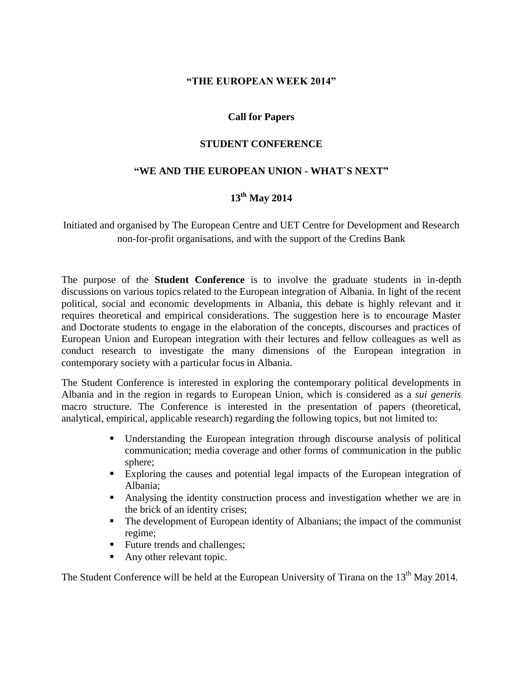#### **"THE EUROPEAN WEEK 2014"**

### **Call for Papers**

#### **STUDENT CONFERENCE**

#### **"WE AND THE EUROPEAN UNION - WHAT`S NEXT"**

# **13 th May 2014**

Initiated and organised by The European Centre and UET Centre for Development and Research non-for-profit organisations, and with the support of the Credins Bank

The purpose of the **Student Conference** is to involve the graduate students in in-depth discussions on various topics related to the European integration of Albania. In light of the recent political, social and economic developments in Albania, this debate is highly relevant and it requires theoretical and empirical considerations. The suggestion here is to encourage Master and Doctorate students to engage in the elaboration of the concepts, discourses and practices of European Union and European integration with their lectures and fellow colleagues as well as conduct research to investigate the many dimensions of the European integration in contemporary society with a particular focus in Albania.

The Student Conference is interested in exploring the contemporary political developments in Albania and in the region in regards to European Union, which is considered as a *sui generis* macro structure. The Conference is interested in the presentation of papers (theoretical, analytical, empirical, applicable research) regarding the following topics, but not limited to:

- Understanding the European integration through discourse analysis of political communication; media coverage and other forms of communication in the public sphere;
- Exploring the causes and potential legal impacts of the European integration of Albania;
- Analysing the identity construction process and investigation whether we are in the brick of an identity crises;
- The development of European identity of Albanians; the impact of the communist regime;
- Future trends and challenges;
- Any other relevant topic.

The Student Conference will be held at the European University of Tirana on the 13<sup>th</sup> May 2014.